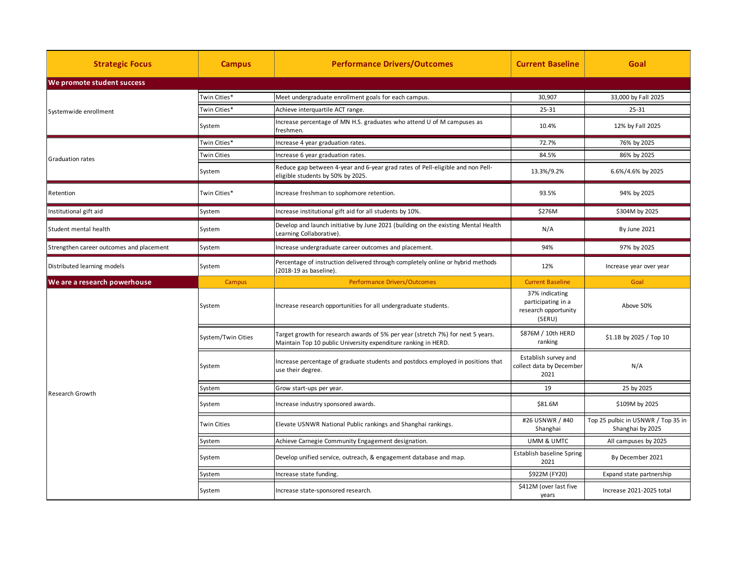| <b>Strategic Focus</b>                   | <b>Campus</b>      | <b>Performance Drivers/Outcomes</b>                                                                                                               | <b>Current Baseline</b>                                  | Goal                                                   |  |  |  |
|------------------------------------------|--------------------|---------------------------------------------------------------------------------------------------------------------------------------------------|----------------------------------------------------------|--------------------------------------------------------|--|--|--|
| We promote student success               |                    |                                                                                                                                                   |                                                          |                                                        |  |  |  |
| Systemwide enrollment                    | Twin Cities*       | Meet undergraduate enrollment goals for each campus.                                                                                              | 30,907                                                   | 33,000 by Fall 2025                                    |  |  |  |
|                                          | Twin Cities*       | Achieve interquartile ACT range.                                                                                                                  | 25-31                                                    | $25 - 31$                                              |  |  |  |
|                                          | System             | Increase percentage of MN H.S. graduates who attend U of M campuses as<br>freshmen.                                                               | 10.4%                                                    | 12% by Fall 2025                                       |  |  |  |
| Graduation rates                         | Twin Cities*       | Increase 4 year graduation rates.                                                                                                                 | 72.7%                                                    | 76% by 2025                                            |  |  |  |
|                                          | <b>Twin Cities</b> | Increase 6 year graduation rates.                                                                                                                 | 84.5%                                                    | 86% by 2025                                            |  |  |  |
|                                          | System             | Reduce gap between 4-year and 6-year grad rates of Pell-eligible and non Pell-<br>eligible students by 50% by 2025.                               | 13.3%/9.2%                                               | 6.6%/4.6% by 2025                                      |  |  |  |
| Retention                                | Twin Cities*       | Increase freshman to sophomore retention.                                                                                                         | 93.5%                                                    | 94% by 2025                                            |  |  |  |
| Institutional gift aid                   | System             | Increase institutional gift aid for all students by 10%.                                                                                          | \$276M                                                   | \$304M by 2025                                         |  |  |  |
| Student mental health                    | System             | Develop and launch initiative by June 2021 (building on the existing Mental Health<br>Learning Collaborative).                                    | N/A                                                      | By June 2021                                           |  |  |  |
| Strengthen career outcomes and placement | System             | Increase undergraduate career outcomes and placement.                                                                                             | 94%                                                      | 97% by 2025                                            |  |  |  |
| Distributed learning models              | System             | Percentage of instruction delivered through completely online or hybrid methods<br>(2018-19 as baseline).                                         | 12%                                                      | Increase year over year                                |  |  |  |
| We are a research powerhouse             | Campus             | <b>Performance Drivers/Outcomes</b>                                                                                                               | <b>Current Baseline</b>                                  | Goal                                                   |  |  |  |
|                                          |                    |                                                                                                                                                   | 37% indicating                                           |                                                        |  |  |  |
|                                          | System             | Increase research opportunities for all undergraduate students.                                                                                   | participating in a<br>research opportunity<br>(SERU)     | Above 50%                                              |  |  |  |
|                                          | System/Twin Cities | Target growth for research awards of 5% per year (stretch 7%) for next 5 years.<br>Maintain Top 10 public University expenditure ranking in HERD. | \$876M / 10th HERD<br>ranking                            | \$1.1B by 2025 / Top 10                                |  |  |  |
|                                          | System             | Increase percentage of graduate students and postdocs employed in positions that<br>use their degree.                                             | Establish survey and<br>collect data by December<br>2021 | N/A                                                    |  |  |  |
|                                          | System             | Grow start-ups per year.                                                                                                                          | 19                                                       | 25 by 2025                                             |  |  |  |
| <b>Research Growth</b>                   | System             | Increase industry sponsored awards.                                                                                                               | \$81.6M                                                  | \$109M by 2025                                         |  |  |  |
|                                          | Twin Cities        | Elevate USNWR National Public rankings and Shanghai rankings.                                                                                     | #26 USNWR / #40<br>Shanghai                              | Top 25 pulbic in USNWR / Top 35 in<br>Shanghai by 2025 |  |  |  |
|                                          | System             | Achieve Carnegie Community Engagement designation.                                                                                                | UMM & UMTC                                               | All campuses by 2025                                   |  |  |  |
|                                          | System             | Develop unified service, outreach, & engagement database and map.                                                                                 | Establish baseline Spring<br>2021                        | By December 2021                                       |  |  |  |
|                                          | System             | Increase state funding.                                                                                                                           | \$922M (FY20)                                            | Expand state partnership                               |  |  |  |